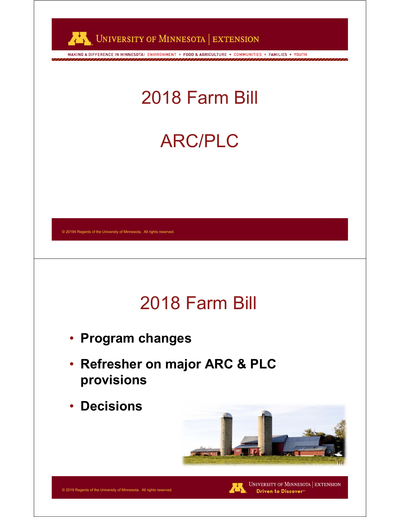

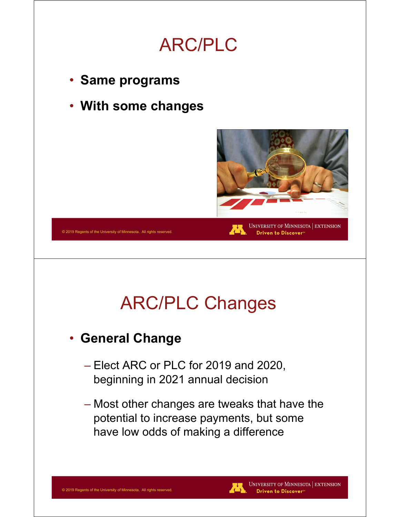

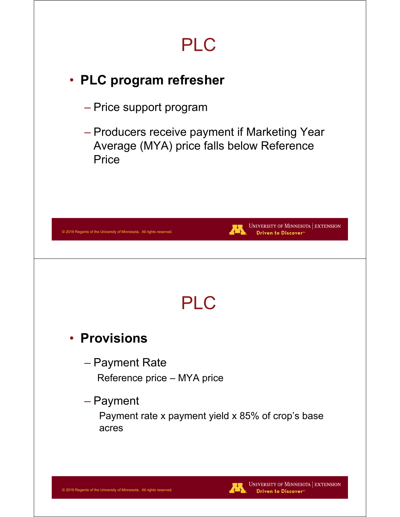# PLC

### • **PLC program refresher**

- Price support program
- Producers receive payment if Marketing Year Average (MYA) price falls below Reference **Price**

| UNIVERSITY OF MINNESOTA   EXTENSION<br>不<br>Driven to Discover® |
|-----------------------------------------------------------------|
|                                                                 |
| <b>PLC</b>                                                      |
|                                                                 |
| Reference price - MYA price                                     |
| Payment rate x payment yield x 85% of crop's base               |
|                                                                 |
|                                                                 |

**UNIVERSITY OF MINNESOTA EXTENSION** 

Driven to Discover<sup>®</sup>

Æ.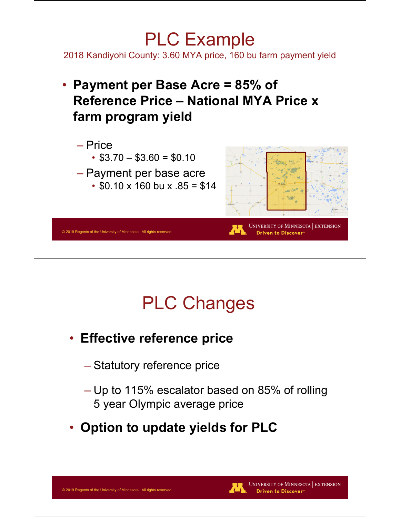### PLC Example

2018 Kandiyohi County: 3.60 MYA price, 160 bu farm payment yield

• **Payment per Base Acre = 85% of Reference Price – National MYA Price x farm program yield**



# PLC Changes

- **Effective reference price** 
	- Statutory reference price
	- Up to 115% escalator based on 85% of rolling 5 year Olympic average price
- **Option to update yields for PLC**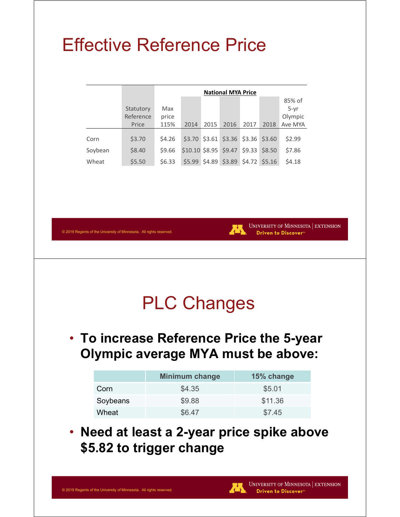### Effective Reference Price

|         |           |        |                               |      | <b>National MYA Price</b>          |      |        |         |  |
|---------|-----------|--------|-------------------------------|------|------------------------------------|------|--------|---------|--|
|         |           |        |                               |      |                                    |      |        | 85% of  |  |
|         | Statutory | Max    |                               |      |                                    |      |        | $5-vr$  |  |
|         | Reference | price  |                               |      |                                    |      |        | Olympic |  |
|         | Price     | 115%   | 2014                          | 2015 | 2016                               | 2017 | 2018   | Ave MYA |  |
|         |           |        |                               |      |                                    |      |        |         |  |
| Corn    | \$3.70    | \$4.26 |                               |      | \$3.70 \$3.61 \$3.36 \$3.36 \$3.60 |      |        | \$2.99  |  |
| Soybean | \$8.40    | \$9.66 | $$10.10$ \$8.95 \$9.47 \$9.33 |      |                                    |      | \$8.50 | \$7.86  |  |
| Wheat   | \$5.50    | \$6.33 |                               |      | \$5.99 \$4.89 \$3.89 \$4.72 \$5.16 |      |        | \$4.18  |  |

© 2019 Regents of the University of Minnesota. All rights reserved.



UNIVERSITY OF MINNESOTA EXTENSION Driven to Discover<sup>®</sup>

### PLC Changes

• **To increase Reference Price the 5-year Olympic average MYA must be above:**

|          | <b>Minimum change</b> | 15% change |
|----------|-----------------------|------------|
| Corn     | \$4.35                | \$5.01     |
| Soybeans | \$9.88                | \$11.36    |
| Wheat    | \$6.47                | \$7.45     |

• **Need at least a 2-year price spike above \$5.82 to trigger change**

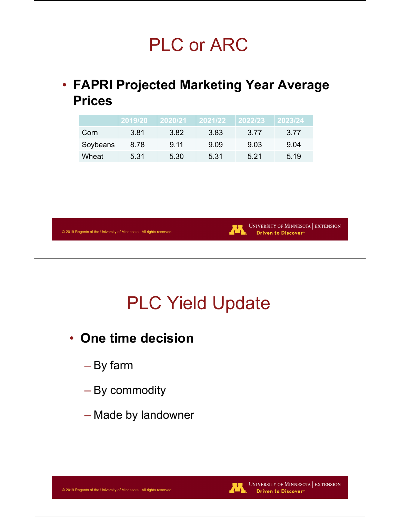### PLC or ARC

### • **FAPRI Projected Marketing Year Average Prices**

|          | 2019/20 | 2020/21 | 2021/22 | 2022/23 | 2023/24 |
|----------|---------|---------|---------|---------|---------|
| Corn     | 3.81    | 3.82    | 3.83    | 3.77    | 3.77    |
| Soybeans | 8.78    | 9.11    | 9.09    | 9.03    | 9.04    |
| Wheat    | 5.31    | 5.30    | 5.31    | 5.21    | 5.19    |



# PLC Yield Update

- **One time decision**
	- By farm

© 2019 Regents of the University of Minnesota. All rights reserved.

- By commodity
- Made by landowner



UNIVERSITY OF MINNESOTA | EXTENSION Driven to Discover<sup>®</sup>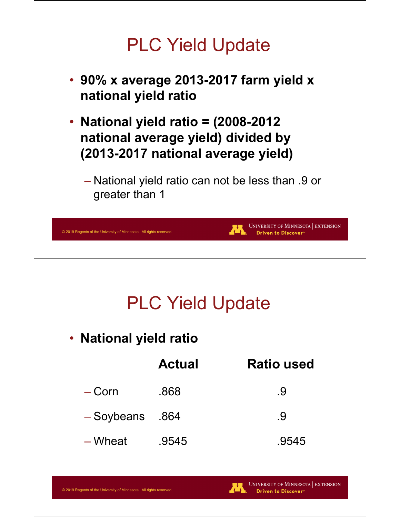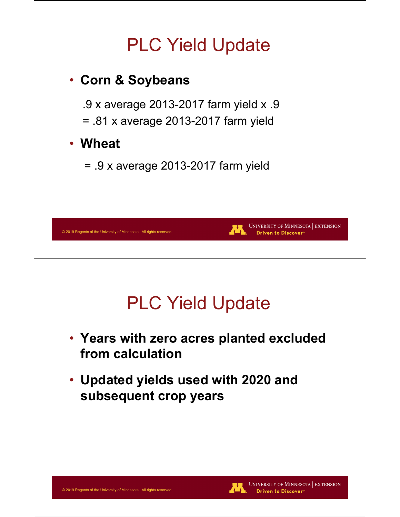# PLC Yield Update • **Corn & Soybeans** .9 x average 2013-2017 farm yield x .9 = .81 x average 2013-2017 farm yield • **Wheat** = .9 x average 2013-2017 farm yield UNIVERSITY OF MINNESOTA EXTENSION © 2019 Regents of the University of Minnesota. All rights reserved Driven to Discover<sup>s</sup> PLC Yield Update • **Years with zero acres planted excluded from calculation** • **Updated yields used with 2020 and subsequent crop years**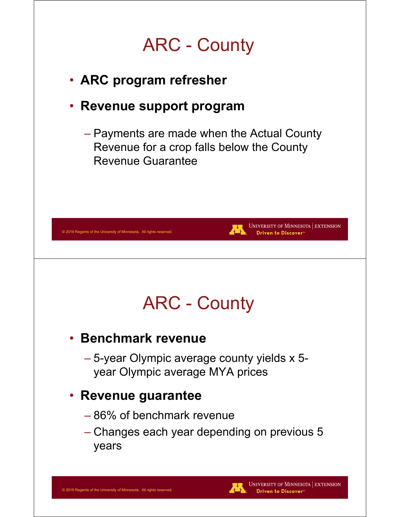# ARC - County

- **ARC program refresher**
- **Revenue support program** 
	- Payments are made when the Actual County Revenue for a crop falls below the County Revenue Guarantee



• **Benchmark revenue**

© 2019 Regents of the University of Minnesota. All rights reserved.

– 5-year Olympic average county yields x 5 year Olympic average MYA prices

#### • **Revenue guarantee**

- 86% of benchmark revenue
- Changes each year depending on previous 5 years

UNIVERSITY OF MINNESOTA | EXTENSION Driven to Discover<sup>®</sup>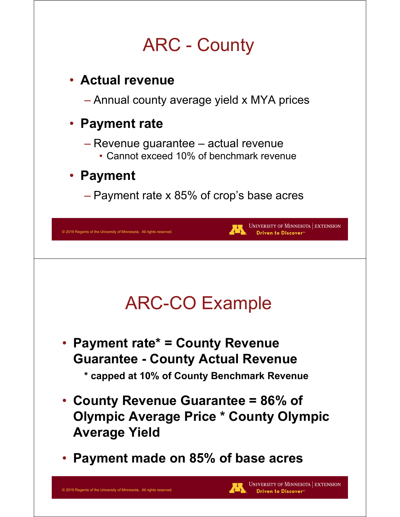# ARC - County

### • **Actual revenue**

– Annual county average yield x MYA prices

### • **Payment rate**

- Revenue guarantee actual revenue
	- Cannot exceed 10% of benchmark revenue

#### • **Payment**

– Payment rate x 85% of crop's base acres

| © 2019 Regents of the University of Minnesota. All rights reserved                                                          | UNIVERSITY OF MINNESOTA   EXTENSION<br>Driven to Discover <sup>®</sup> |
|-----------------------------------------------------------------------------------------------------------------------------|------------------------------------------------------------------------|
| <b>ARC-CO Example</b>                                                                                                       |                                                                        |
| • Payment rate* = County Revenue<br><b>Guarantee - County Actual Revenue</b><br>* capped at 10% of County Benchmark Revenue |                                                                        |
| • County Revenue Guarantee = 86% of<br><b>Average Yield</b>                                                                 | <b>Olympic Average Price * County Olympic</b>                          |
| • Payment made on 85% of base acres                                                                                         |                                                                        |
| © 2019 Regents of the University of Minnesota. All rights reserved.                                                         | UNIVERSITY OF MINNESOTA   EXTENSION<br>Driven to Discover®             |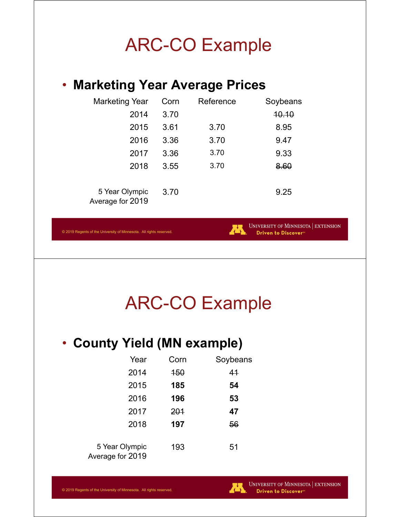# ARC-CO Example

#### • **Marketing Year Average Prices**

| <b>Marketing Year</b>              | Corn | Reference | Soybeans     |
|------------------------------------|------|-----------|--------------|
| 2014                               | 3.70 |           | <b>10.10</b> |
| 2015                               | 3.61 | 3.70      | 8.95         |
| 2016                               | 3.36 | 3.70      | 9.47         |
| 2017                               | 3.36 | 3.70      | 9.33         |
| 2018                               | 3.55 | 3.70      | 8.60         |
|                                    |      |           |              |
| 5 Year Olympic<br>Average for 2019 | 3.70 |           | 9.25         |

© 2019 Regents of the University of Minnesota. All rights reserved.



### ARC-CO Example

### • **County Yield (MN example)**

| Year                               | Corn       | Soybeans |
|------------------------------------|------------|----------|
| 2014                               | <b>150</b> | 41       |
| 2015                               | 185        | 54       |
| 2016                               | 196        | 53       |
| 2017                               | 201        | 47       |
| 2018                               | 197        | 56       |
| 5 Year Olympic<br>Average for 2019 | 193        | 51       |

UNIVERSITY OF MINNESOTA EXTENSION Driven to Discover<sup>®</sup>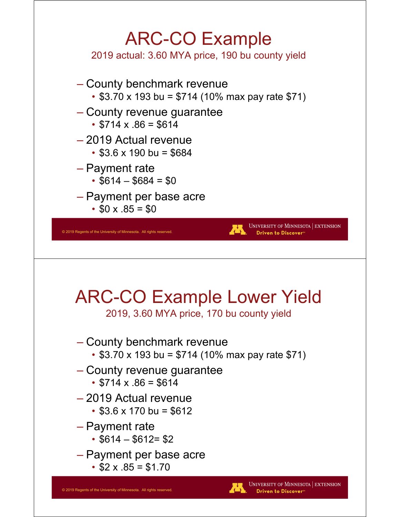

2019 actual: 3.60 MYA price, 190 bu county yield

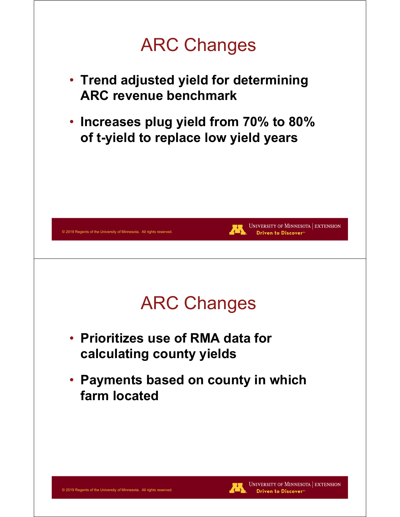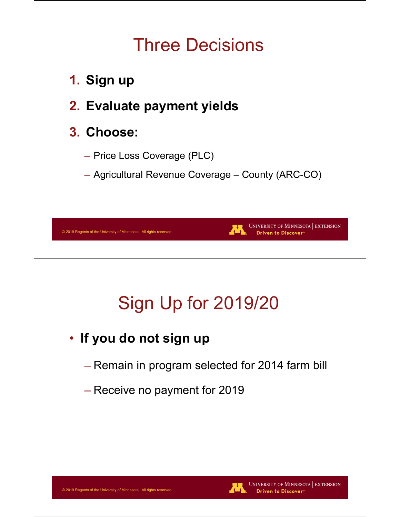### Three Decisions

- **1. Sign up**
- **2. Evaluate payment yields**

### **3. Choose:**

- Price Loss Coverage (PLC)
- Agricultural Revenue Coverage County (ARC-CO)

| Sign Up for 2019/20<br>• If you do not sign up<br>- Remain in program selected for 2014 farm bill |  |
|---------------------------------------------------------------------------------------------------|--|
|                                                                                                   |  |
|                                                                                                   |  |
|                                                                                                   |  |
| - Receive no payment for 2019                                                                     |  |

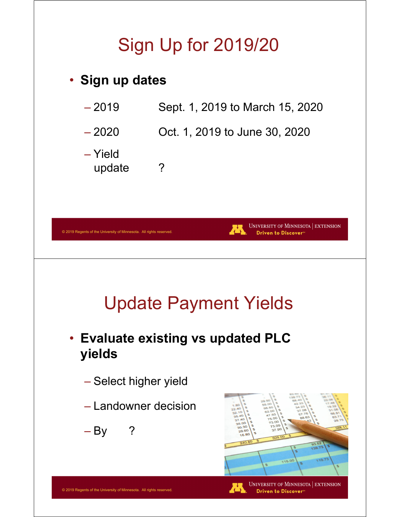# Sign Up for 2019/20



**Driven to Discover®**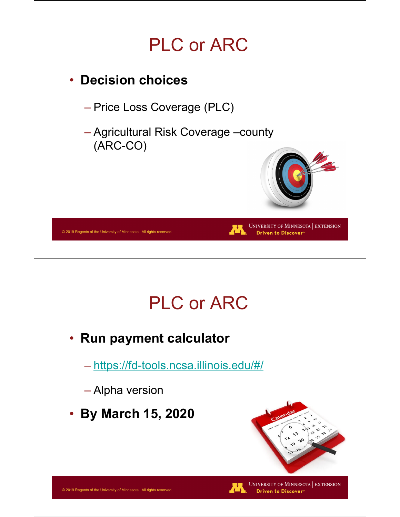# PLC or ARC

### • **Decision choices**

– Price Loss Coverage (PLC)

– Agricultural Risk Coverage –county (ARC-CO)

PLC or ARC

• **Run payment calculator**

– https://fd-tools.ncsa.illinois.edu/#/

– Alpha version

© 2019 Regents of the University of Minnesota. All rights reserved.

• **By March 15, 2020**



UNIVERSITY OF MINNESOTA | EXTENSION Driven to Discover<sup>®</sup>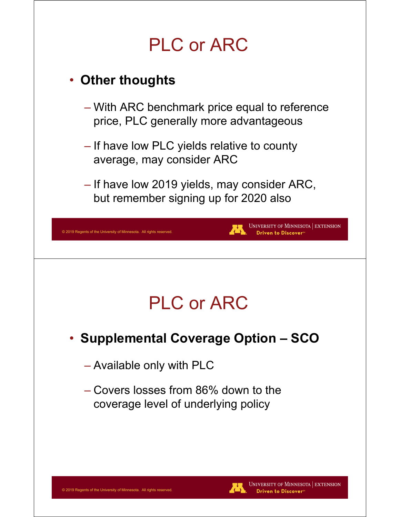# PLC or ARC

### • **Other thoughts**

© 2019 Regents of the University of Minnesota. All rights reserved

- With ARC benchmark price equal to reference price, PLC generally more advantageous
- If have low PLC yields relative to county average, may consider ARC
- If have low 2019 yields, may consider ARC, but remember signing up for 2020 also

# PLC or ARC

- **Supplemental Coverage Option SCO**
	- Available only with PLC
	- Covers losses from 86% down to the coverage level of underlying policy



**UNIVERSITY OF MINNESOTA EXTENSION** 

Driven to Discover<sup>s</sup>